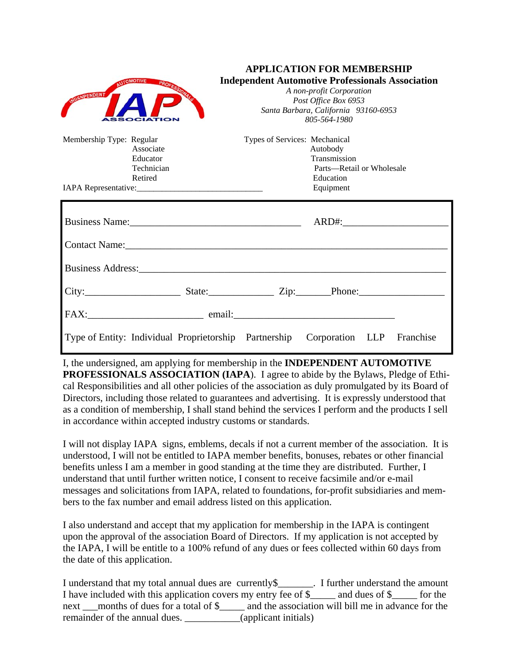| DENPENDENT                                                                 | <b>Independent Automotive Professionals Association</b><br>A non-profit Corporation<br>Post Office Box 6953<br>Santa Barbara, California 93160-6953<br>805-564-1980                                                            |
|----------------------------------------------------------------------------|--------------------------------------------------------------------------------------------------------------------------------------------------------------------------------------------------------------------------------|
| Membership Type: Regular<br>Associate<br>Educator<br>Technician<br>Retired | Types of Services: Mechanical<br>Autobody<br>Transmission<br>Parts—Retail or Wholesale<br>Education<br>Equipment                                                                                                               |
|                                                                            |                                                                                                                                                                                                                                |
|                                                                            | Business Address: No. 1996. The Second Second Second Second Second Second Second Second Second Second Second Second Second Second Second Second Second Second Second Second Second Second Second Second Second Second Second S |
|                                                                            |                                                                                                                                                                                                                                |
|                                                                            |                                                                                                                                                                                                                                |
|                                                                            | Type of Entity: Individual Proprietorship Partnership Corporation LLP Franchise                                                                                                                                                |

**APPLICATION FOR MEMBERSHIP** 

I, the undersigned, am applying for membership in the **INDEPENDENT AUTOMOTIVE PROFESSIONALS ASSOCIATION (IAPA**). I agree to abide by the Bylaws, Pledge of Ethical Responsibilities and all other policies of the association as duly promulgated by its Board of Directors, including those related to guarantees and advertising. It is expressly understood that as a condition of membership, I shall stand behind the services I perform and the products I sell in accordance within accepted industry customs or standards.

I will not display IAPA signs, emblems, decals if not a current member of the association. It is understood, I will not be entitled to IAPA member benefits, bonuses, rebates or other financial benefits unless I am a member in good standing at the time they are distributed. Further, I understand that until further written notice, I consent to receive facsimile and/or e-mail messages and solicitations from IAPA, related to foundations, for-profit subsidiaries and members to the fax number and email address listed on this application.

I also understand and accept that my application for membership in the IAPA is contingent upon the approval of the association Board of Directors. If my application is not accepted by the IAPA, I will be entitle to a 100% refund of any dues or fees collected within 60 days from the date of this application.

I understand that my total annual dues are currently\$\_\_\_\_\_\_\_. I further understand the amount I have included with this application covers my entry fee of \$\_\_\_\_\_ and dues of \$\_\_\_\_\_ for the next \_\_months of dues for a total of \$\_\_\_\_\_ and the association will bill me in advance for the remainder of the annual dues. \_\_\_\_\_\_\_\_\_\_(applicant initials)